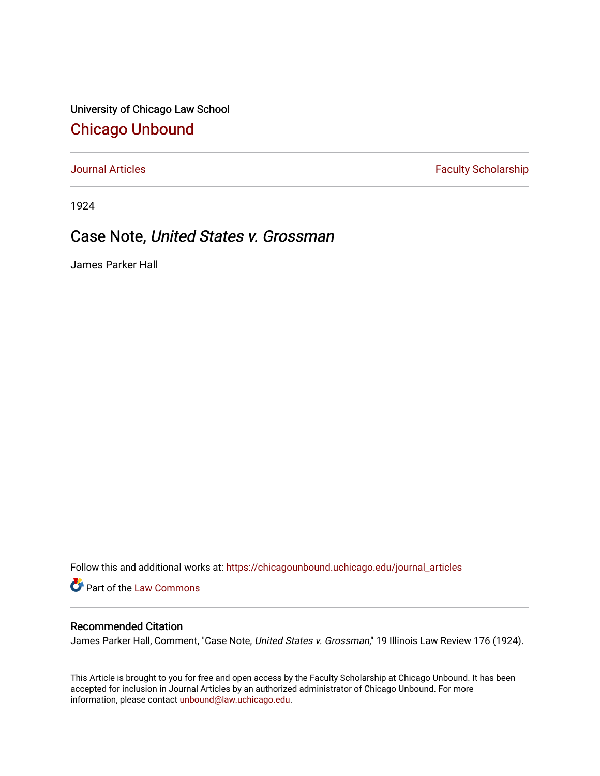University of Chicago Law School [Chicago Unbound](https://chicagounbound.uchicago.edu/)

[Journal Articles](https://chicagounbound.uchicago.edu/journal_articles) **Faculty Scholarship Faculty Scholarship** 

1924

## Case Note, United States v. Grossman

James Parker Hall

Follow this and additional works at: [https://chicagounbound.uchicago.edu/journal\\_articles](https://chicagounbound.uchicago.edu/journal_articles?utm_source=chicagounbound.uchicago.edu%2Fjournal_articles%2F8985&utm_medium=PDF&utm_campaign=PDFCoverPages) 

Part of the [Law Commons](http://network.bepress.com/hgg/discipline/578?utm_source=chicagounbound.uchicago.edu%2Fjournal_articles%2F8985&utm_medium=PDF&utm_campaign=PDFCoverPages)

## Recommended Citation

James Parker Hall, Comment, "Case Note, United States v. Grossman," 19 Illinois Law Review 176 (1924).

This Article is brought to you for free and open access by the Faculty Scholarship at Chicago Unbound. It has been accepted for inclusion in Journal Articles by an authorized administrator of Chicago Unbound. For more information, please contact [unbound@law.uchicago.edu](mailto:unbound@law.uchicago.edu).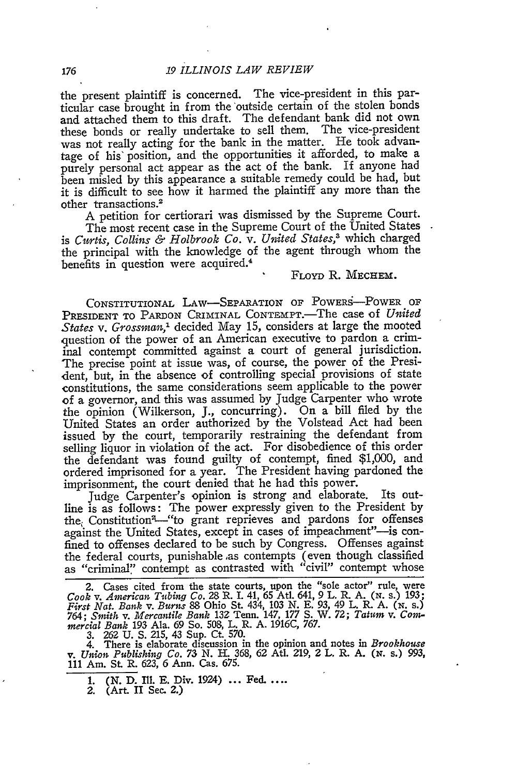the present plaintiff is concerned. The vice-president in this particular case brought in from the outside certain of the stolen bonds and attached them to this draft. The defendant bank did not own these bonds or really undertake to sell them. The vice-president was not really acting for the bank in the matter. He took advantage of his' position, and the opportunities it afforded, to make a purely personal act appear as the act of the bank. If anyone had been misled by this appearance a suitable remedy could be had, but it is difficult to see how it harmed the plaintiff any more than the other transactions.<sup>2</sup>

A petition for certiorari was dismissed by the Supreme Court.

The most recent case in the Supreme Court of the United States is *Curtis, Collins & Holbrook Co. v. United States,3* which charged the principal with the knowledge of the agent through whom the benefits in question were acquired.<sup>4</sup>

## FLOYD R. MECHEm.

CONSTITUTIONAL LAW-SEPARATION OF POWERS-POWER OF PRESIDENT TO PARDON CRIMINAL CONTEMPT.-The case of *United States v. Grossman,'* decided May 15, considers at large the mooted question of the power of an American executive to pardon a criminal contempt committed against a court of general jurisdiction. The precise point at issue was, of course, the power of the President, but, in the absence of controlling special provisions of state constitutions, the same considerations seem applicable to the power of a governor, and this was assumed by Judge Carpenter who wrote the opinion (Wilkerson, J., concurring). On a bill filed by the United States an order authorized by the Volstead Act had been issued by the court, temporarily restraining the defendant from selling liquor in violation of the act. For disobedience of this order the defendant was found guilty of contempt, fined \$1,000, and ordered imprisoned for a year. The President having pardoned the imprisonment, the court denied that he had this power.

Judge Carpenter's opinion is strong and elaborate. Its outline is as follows: The power expressly given to the President by the Constitution<sup>2</sup>-"to grant reprieves and pardons for offenses against the United States, except in cases of impeachment"-is confined to offenses declared to be such by Congress. Offenses against the federal courts, punishable as contempts (even though classified as "criminal" contempt as contrasted with "civil" contempt whose

2. Cases cited from the state courts, upon the "sole actor" rule, were<br>Cook v. American Tubing Co. 28 R. I. 41, 65 Atl. 641, 9 L. R. A. (N. s.) 193;<br>First Nat. Bank v. Burns 88 Ohio St. 434, 103 N. E. 93, 49 L. R. A. (N. s

3. 262 U. S. 215, 43 Sup. Ct. 570.<br>4. There is elaborate discussion in the opinion and notes in Brookhouse<br>v. Union Publishing Co. 73 N. H. 368, 62 Atl. 219, 2 L. R. A. (N. s.) 993,<br>111 Am. St. R. 623, 6 Ann. Cas. 675.

1. (N. D. Ill. E. Div. 1924) ... Fed. ....

2. (Art. II See. 2.)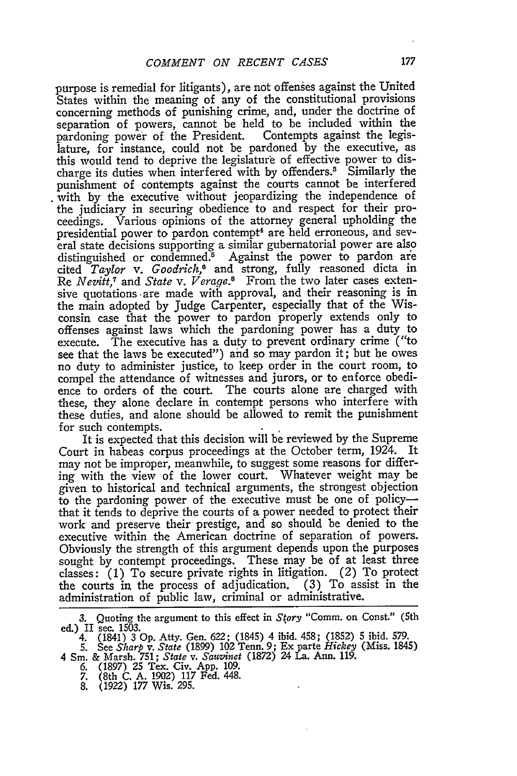purpose is remedial for litigants), are not offenses against the United States within the meaning of any of the constitutional provisions concerning methods of punishing crime, and, under the doctrine of separation of powers, cannot be held to be included within the pardoning power of the President. lature, for instance, could not be pardoned by the executive, as this would tend to deprive the legislature of effective power to discharge its duties when interfered with by offenders.3 Similarly the punishment of contempts against the courts cannot be interfered with by the executive without jeopardizing the independence of the judiciary in securing obedience to and respect for their proceedings. Various opinions of the attorney general upholding the presidential power to pardon contempt<sup>4</sup> are held erroneous, and several state decisions supporting a similar gubernatorial power are also distinguished or condemned. $5$  Against the power to pardon are cited *Taylor v. Goodrich,6* and strong, fully reasoned dicta in Re *Nez'itt,7* and *State v. Verage.3* From the two later cases extensive quotations -are made with approval, and their reasoning is in the main adopted by Judge Carpenter, especially that of the Wisconsin case that the power to pardon properly extends only to offenses against laws which the pardoning power has a duty to execute. The executive has a duty to prevent ordinary crime ("to see that the laws be executed") and so may pardon it; but be owes no duty to administer justice, to keep order in the court room, to compel the attendance of witnesses and jurors, or to enforce obedience to orders of the court. The courts alone are charged with these, they alone declare in contempt persons who interfere with these duties, and alone should be allowed to remit the punishment for such contempts.

It is expected that this decision will be reviewed by the Supreme Court in habeas corpus proceedings at the October term, 1924. It may not be improper, meanwhile, to suggest some reasons for differing with the view of the lower court. Whatever weight may be given to historical and technical arguments, the strongest objection to the pardoning power of the executive must be one of policythat it tends to deprive the courts of a power needed to protect their work and preserve their prestige, and so should be denied to the executive within the American doctrine of separation of powers. Obviously the strength of this argument depends upon the purposes sought by contempt proceedings. These may be of at least three classes: (1) To secure private rights in litigation. (2) To protect the courts in the process of adjudication. (3) To assist in the administration of public law, criminal or administrative.

- 
- 
- 

Quoting the argument to this effect in *Story* "Comm. on Const." (5th ed.) II sec. 1503.

<sup>4. (1841) 3</sup> **Op.** Atty. Gen. 622; (1845) 4 ibid. 458; (1852) 5 ibid. 579.

<sup>5.</sup> See *Sharp v. State* (1899) 102 Tenn. 9; Ex parte *Hickey* (Miss. 1845) 4 Sm. & Marsh. 751; *State v. Sauvinet* (1872) 24 La. Ann. 119. *6.* (1897) 25 Tex. Civ. App. 109. 7. (8th C. A. 1902) 117 Fed. 448. 8. (1922) 177 Wis. 295.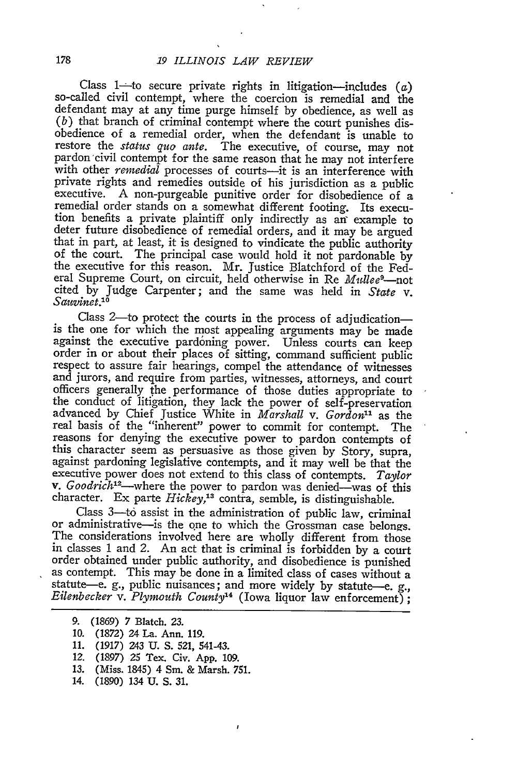Class 1-to secure private rights in litigation-includes  $(a)$  so-called civil contempt, where the coercion is remedial and the defendant may at any time purge himself by obedience, as well as *(b)* that branch of criminal contempt where the court punishes disobedience of a remedial order, when the defendant is unable to restore the *status quo ante.* The executive, of course, may not pardon civil contempt for the same reason that he may not interfere with other *remedial* processes of courts—it is an interference with private rights and remedies outside of his jurisdiction as a public executive. A non-purgeable punitive order for disobedience of a remedial order stands on a somewhat different footing. Its execution benefits a private plaintiff only indirectly as an" example to deter future disobedience of remedial orders, and it may be argued that in part, at least, it is designed to vindicate the public authority of the court. The principal case would hold it not pardonable by the executive for eral Supreme Court, on circuit, held otherwise in Re *Mullee<sup>9</sup>*-not cited by Judge Carpenter; and the same was held in *State v. Sauvinet.10*

Class 2-to protect the courts in the process of adjudication- is the one for which the most appealing arguments may be made against the executive pardoning power. Unless courts can keep order in or about their places of sitting, command sufficient public respect to assure fair hearings, compel the attendance of witnesses and jurors, and require from parties, witnesses, attorneys, and court officers generally the performance of those duties appropriate to the conduct of litigation, they lack the power of self-preservation advanced by Chief Justice White in *Marshall v. Gordon"l* as the real basis of the "inherent" power to commit for contempt. The reasons for denying the executive power to pardon contempts of this character seem as persuasive as those given by Story, supra, against pardoning legislative contempts, and it may well be that the executive power does not extend to this class of contempts. *Taylor v. Goodrich*<sup>12</sup>—where the power to pardon was denied—was of this character. Ex parte *Hickey*,<sup>13</sup> contra, semble, is distinguishable.

Class 3-to assist in the administration of public law, criminal or administrative-is the one to which the Grossman case belongs. The considerations involved here are wholly different from those in classes 1 and 2. An act that is criminal is forbidden by a court order obtained under public authority, and disobedience is punished as contempt. This may be done in a limited class of cases without a statute-e. g., public nuisances; and more widely by statute-e. g., *Eilenbecker v. Plymouth County*<sup>14</sup> (Iowa liquor law enforcement);

- 13. (Miss. 1845) 4 Sm. & Marsh. 751.
- 14. (1890) 134 U. S. 31.

*<sup>9.</sup>* (1869) 7 Blatch. 23.

<sup>10. (1872) 24</sup> La. Ann. 119.

<sup>11. (1917) 243</sup> U. S. 521, 541-43.

*<sup>12.</sup>* (1897) 25 Tex. Civ. App. 109.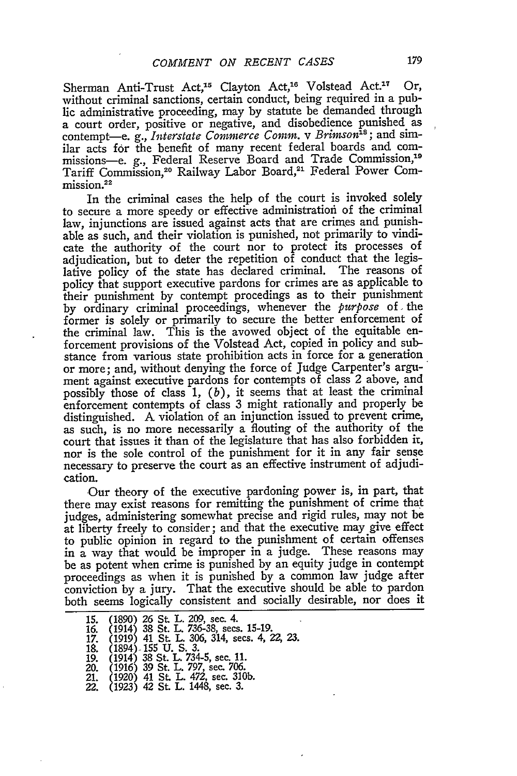Sherman Anti-Trust Act,<sup>15</sup> Clayton Act,<sup>16</sup> Volstead Act.<sup>17</sup> Or, without criminal sanctions, certain conduct, being required in a public administrative proceeding, may by statute be demanded through a court order, positive or negative, and disobedience punished as contempt-e. g., *Interstate Commerce Comm.* v Brimson<sup>18</sup>; and similar acts for the benefit of many recent federal boards and commissions-e. g., Federal Reserve Board and Trade Commission,<sup>19</sup> Tariff Commission,<sup>20</sup> Railway Labor Board,<sup>21</sup> Federal Power Commission.<sup>22</sup>

In the criminal cases the help of the court is invoked solely to secure a more speedy or effective administration of the criminal law, injunctions are issued against acts that are crimes and punishable as such, and their violation is punished, not primarily to vindicate the authority of the court nor to protect its processes of adjudication, but to deter the repetition of conduct that the legislative policy of the state has declared criminal. The reasons of policy that support executive pardons for crimes are as applicable to their punishment by contempt procedings as to their punishment by ordinary criminal proceedings, whenever the *purpose* of, the former is solely or primarily to secure the better enforcement of the criminal law. This is the avowed object of the equitable enforcement provisions of the Volstead Act, copied in policy and substance from various state prohibition acts in force for a generation or more; and, without denying the force of Judge Carpenter's argument against executive pardons for contempts of class 2 above, and possibly those of class 1, *(b),* it seems that at least the criminal enforcement contempts of class 3 might rationally and properly be distinguished. A violation of an injunction issued to prevent crime, as such, is no more necessarily a flouting of the authority of the court that issues it than of the legislature that has also forbidden it, nor is the sole control of the punishment for it in any fair sense necessary to preserve the court as an effective instrument of adjudication.

Our theory of the executive pardoning power is, in part, that there may exist reasons for remitting the punishment of crime that judges, administering somewhat precise and rigid rules, may not be at liberty freely to consider; and that the executive may give effect to public opinion in regard to the punishment of certain offenses in a way that would be improper in a judge. These reasons may be as potent when crime is punished by an equity judge in contempt proceedings as when it is punished by a common law judge after conviction by a jury. That the executive should be able to pardon both seems logically consistent and socially desirable, nor does it

<sup>15. (1890) 26</sup> St. L. 209, see. 4. 16. (1914) 38 St. L. 736-38, secs. 15-19. 17. (1919) 41 St. L. 306, 314, secs. 4, *22, 23.* 18. (1894) -155 U. S. 3. 19. (1914) 38 St. L. 734-5, sec. 11. 20. (1916) 39 St. L. 797, sec. 706. 21. (1920) 41 St. L. 472, see. 310b. 22. (1923) 42 St. L. 1448, sec. **3.**